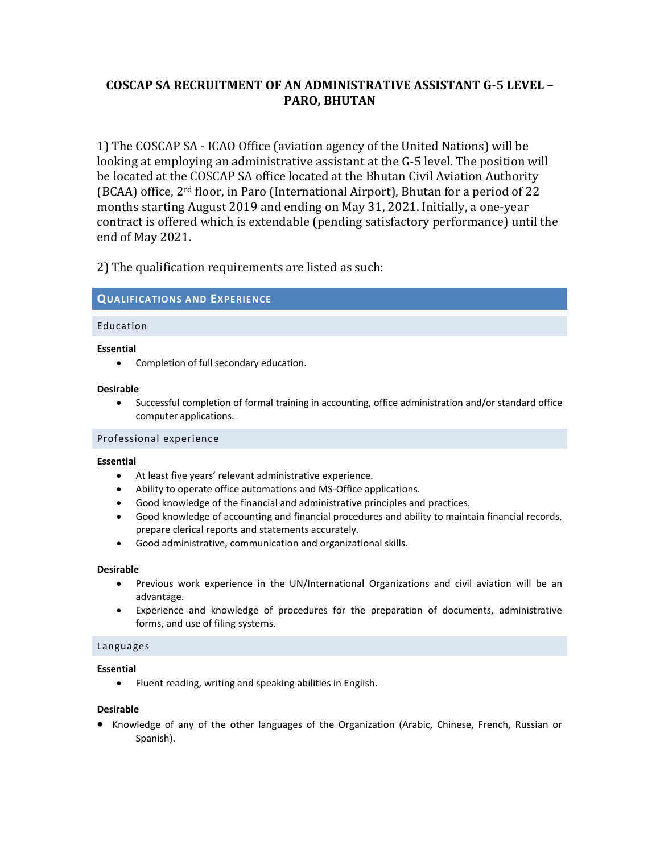# **COSCAP SA RECRUITMENT OF AN ADMINISTRATIVE ASSISTANT G-5 LEVEL – PARO, BHUTAN**

1) The COSCAP SA - ICAO Office (aviation agency of the United Nations) will be looking at employing an administrative assistant at the G-5 level. The position will be located at the COSCAP SA office located at the Bhutan Civil Aviation Authority (BCAA) office, 2rd floor, in Paro (International Airport), Bhutan for a period of 22 months starting August 2019 and ending on May 31, 2021. Initially, a one-year contract is offered which is extendable (pending satisfactory performance) until the end of May 2021.

2) The qualification requirements are listed as such:

## **QUALIFICATIONS AND EXPERIENCE**

## Education

#### **Essential**

Completion of full secondary education.

#### **Desirable**

 Successful completion of formal training in accounting, office administration and/or standard office computer applications.

## Professional experience

#### **Essential**

- At least five years' relevant administrative experience.
- Ability to operate office automations and MS-Office applications.
- Good knowledge of the financial and administrative principles and practices.
- Good knowledge of accounting and financial procedures and ability to maintain financial records, prepare clerical reports and statements accurately.
- Good administrative, communication and organizational skills.

#### **Desirable**

- Previous work experience in the UN/International Organizations and civil aviation will be an advantage.
- Experience and knowledge of procedures for the preparation of documents, administrative forms, and use of filing systems.

## Languages

#### **Essential**

Fluent reading, writing and speaking abilities in English.

#### **Desirable**

• Knowledge of any of the other languages of the Organization (Arabic, Chinese, French, Russian or Spanish).